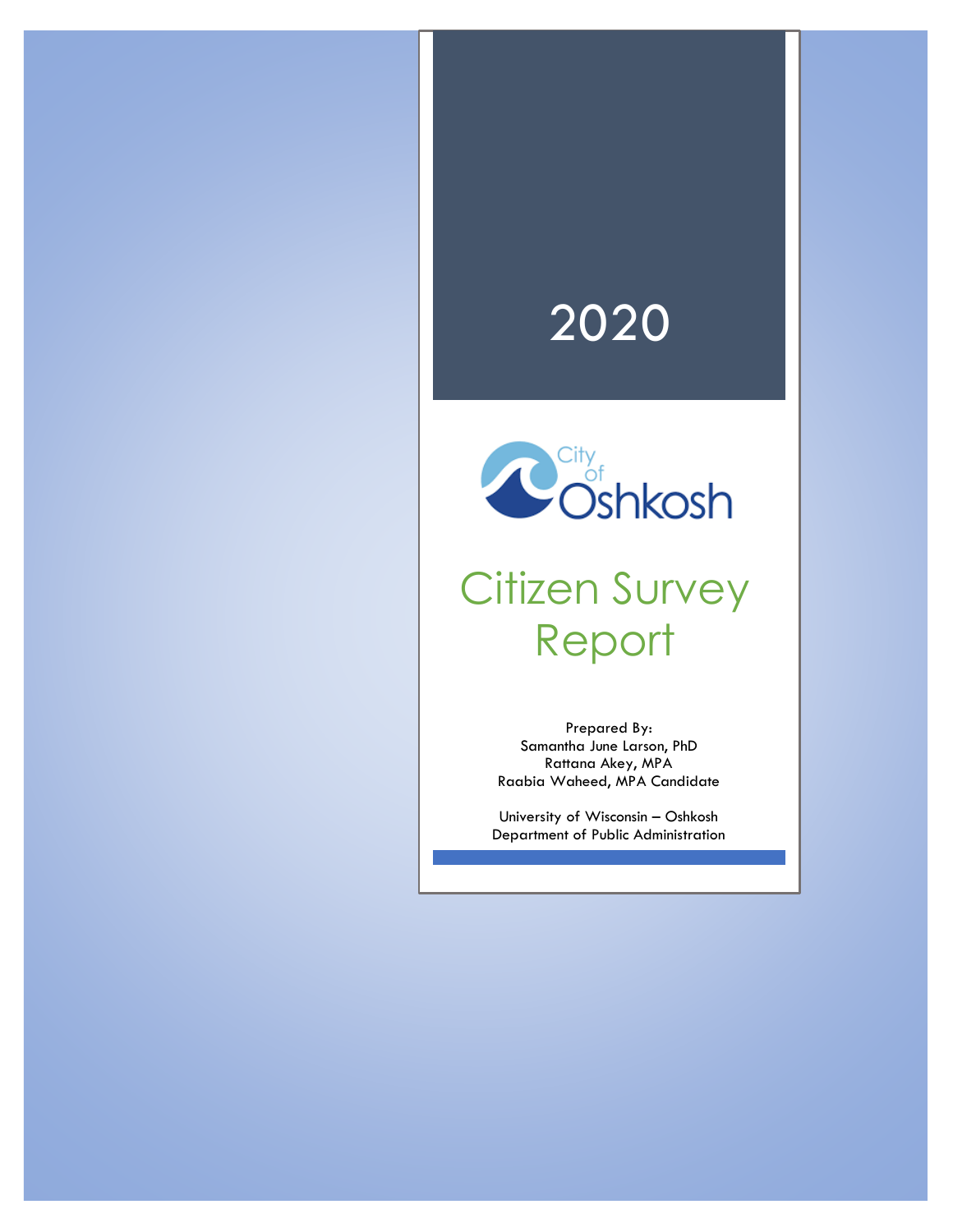# 2020



# Citizen Survey Report

Prepared By: Samantha June Larson, PhD Rattana Akey, MPA Raabia Waheed, MPA Candidate

University of Wisconsin – Oshkosh Department of Public Administration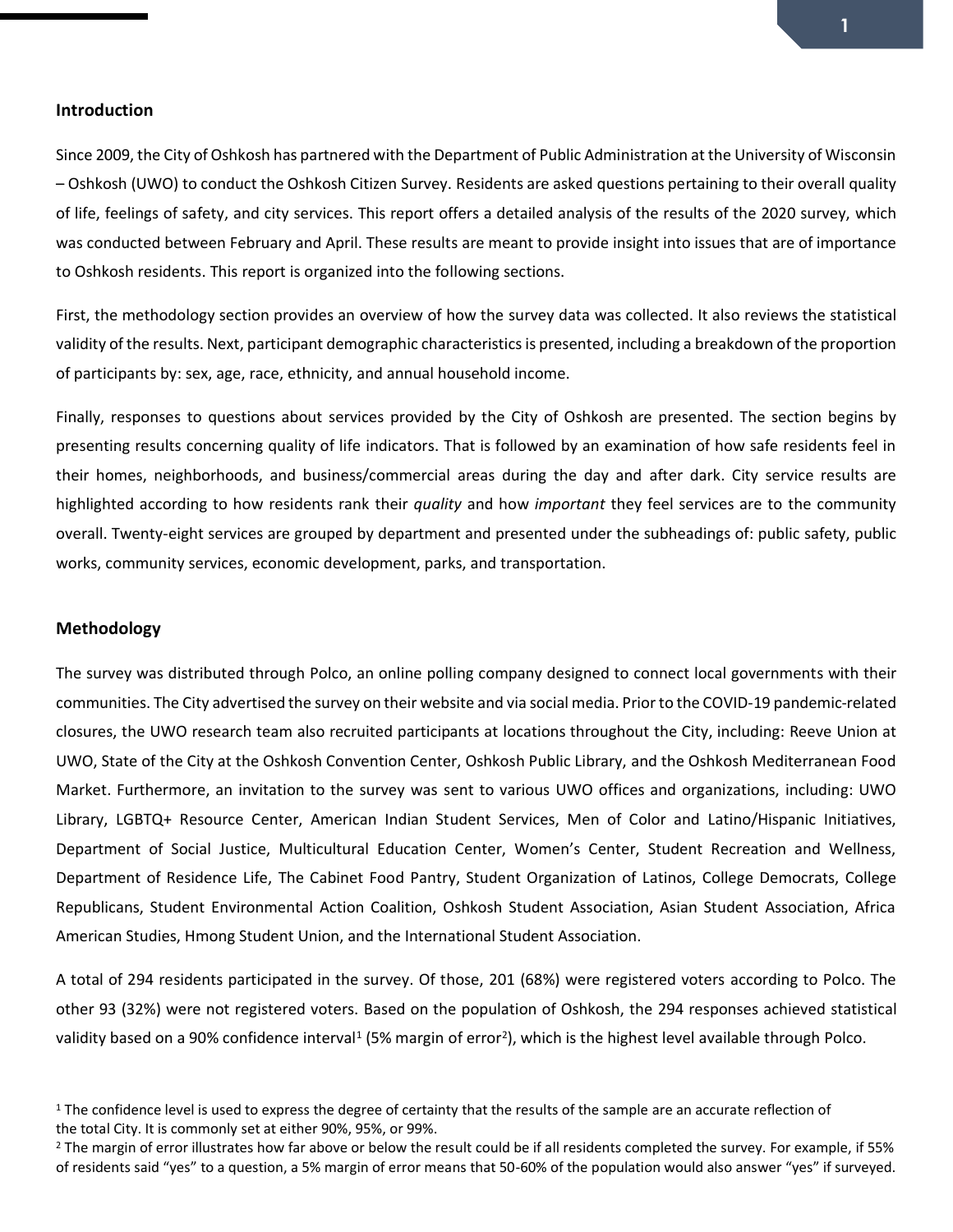Since 2009, the City of Oshkosh has partnered with the Department of Public Administration at the University of Wisconsin – Oshkosh (UWO) to conduct the Oshkosh Citizen Survey. Residents are asked questions pertaining to their overall quality of life, feelings of safety, and city services. This report offers a detailed analysis of the results of the 2020 survey, which was conducted between February and April. These results are meant to provide insight into issues that are of importance to Oshkosh residents. This report is organized into the following sections.

First, the methodology section provides an overview of how the survey data was collected. It also reviews the statistical validity of the results. Next, participant demographic characteristicsis presented, including a breakdown of the proportion of participants by: sex, age, race, ethnicity, and annual household income.

Finally, responses to questions about services provided by the City of Oshkosh are presented. The section begins by presenting results concerning quality of life indicators. That is followed by an examination of how safe residents feel in their homes, neighborhoods, and business/commercial areas during the day and after dark. City service results are highlighted according to how residents rank their *quality* and how *important* they feel services are to the community overall. Twenty-eight services are grouped by department and presented under the subheadings of: public safety, public works, community services, economic development, parks, and transportation.

#### **Methodology**

The survey was distributed through Polco, an online polling company designed to connect local governments with their communities. The City advertised the survey on their website and via social media. Prior to the COVID-19 pandemic-related closures, the UWO research team also recruited participants at locations throughout the City, including: Reeve Union at UWO, State of the City at the Oshkosh Convention Center, Oshkosh Public Library, and the Oshkosh Mediterranean Food Market. Furthermore, an invitation to the survey was sent to various UWO offices and organizations, including: UWO Library, LGBTQ+ Resource Center, American Indian Student Services, Men of Color and Latino/Hispanic Initiatives, Department of Social Justice, Multicultural Education Center, Women's Center, Student Recreation and Wellness, Department of Residence Life, The Cabinet Food Pantry, Student Organization of Latinos, College Democrats, College Republicans, Student Environmental Action Coalition, Oshkosh Student Association, Asian Student Association, Africa American Studies, Hmong Student Union, and the International Student Association.

A total of 294 residents participated in the survey. Of those, 201 (68%) were registered voters according to Polco. The other 93 (32%) were not registered voters. Based on the population of Oshkosh, the 294 responses achieved statistical validity based on a 90% confidence interval<sup>1</sup> (5% margin of error<sup>2</sup>), which is the highest level available through Polco.

 $1$  The confidence level is used to express the degree of certainty that the results of the sample are an accurate reflection of the total City. It is commonly set at either 90%, 95%, or 99%.

 $2$  The margin of error illustrates how far above or below the result could be if all residents completed the survey. For example, if 55% of residents said "yes" to a question, a 5% margin of error means that 50-60% of the population would also answer "yes" if surveyed.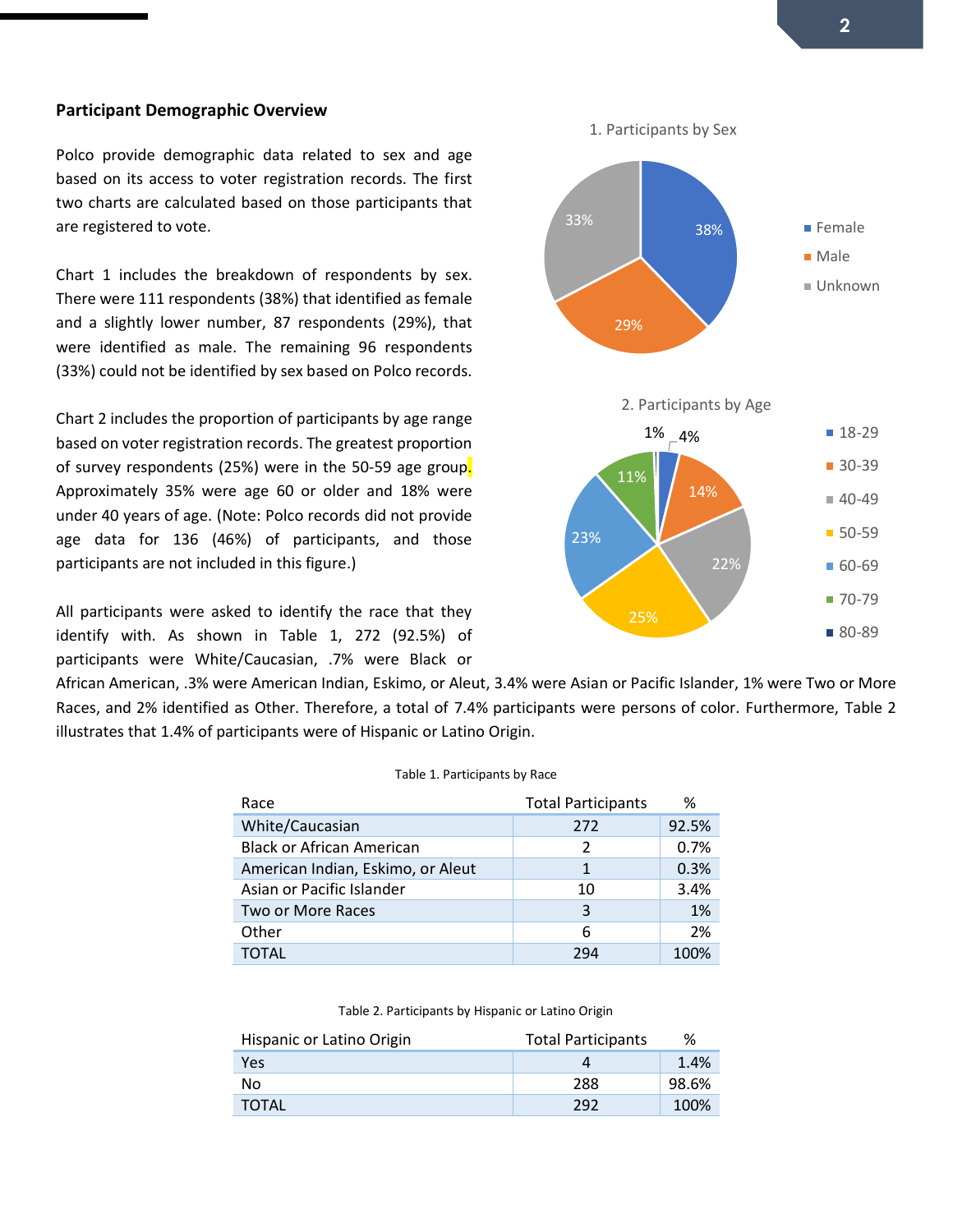#### **Participant Demographic Overview**

Polco provide demographic data related to sex and age based on its access to voter registration records. The first two charts are calculated based on those participants that are registered to vote.

Chart 1 includes the breakdown of respondents by sex. There were 111 respondents (38%) that identified as female and a slightly lower number, 87 respondents (29%), that were identified as male. The remaining 96 respondents (33%) could not be identified by sex based on Polco records.

Chart 2 includes the proportion of participants by age range based on voter registration records. The greatest proportion of survey respondents (25%) were in the 50-59 age group. Approximately 35% were age 60 or older and 18% were under 40 years of age. (Note: Polco records did not provide age data for 136 (46%) of participants, and those participants are not included in this figure.)

All participants were asked to identify the race that they identify with. As shown in Table 1, 272 (92.5%) of participants were White/Caucasian, .7% were Black or



#### Table 1. Participants by Race

| Race                              | <b>Total Participants</b> | ℅     |
|-----------------------------------|---------------------------|-------|
| White/Caucasian                   | 272                       | 92.5% |
| <b>Black or African American</b>  | 2                         | 0.7%  |
| American Indian, Eskimo, or Aleut | 1                         | 0.3%  |
| Asian or Pacific Islander         | 10                        | 3.4%  |
| Two or More Races                 | 3                         | 1%    |
| Other                             | 6                         | 2%    |
| ΤΟΤΑΙ                             | 79∆                       | 100%  |

Table 2. Participants by Hispanic or Latino Origin

| Hispanic or Latino Origin | <b>Total Participants</b> | %     |
|---------------------------|---------------------------|-------|
| <b>Yes</b>                |                           | 1.4%  |
| No.                       | 288                       | 98.6% |
| TOTAL                     | 292                       | 100%  |

■ 80-89

38% 29% 33% 1. Participants by Sex **Female Male** Unknown  $1\%$   $-4\%$ 14% 22% 23% 11% 2. Participants by Age  $18-29$ ■ 30-39  $40-49$ ■ 50-59 ■ 60-69  $70-79$ 

25%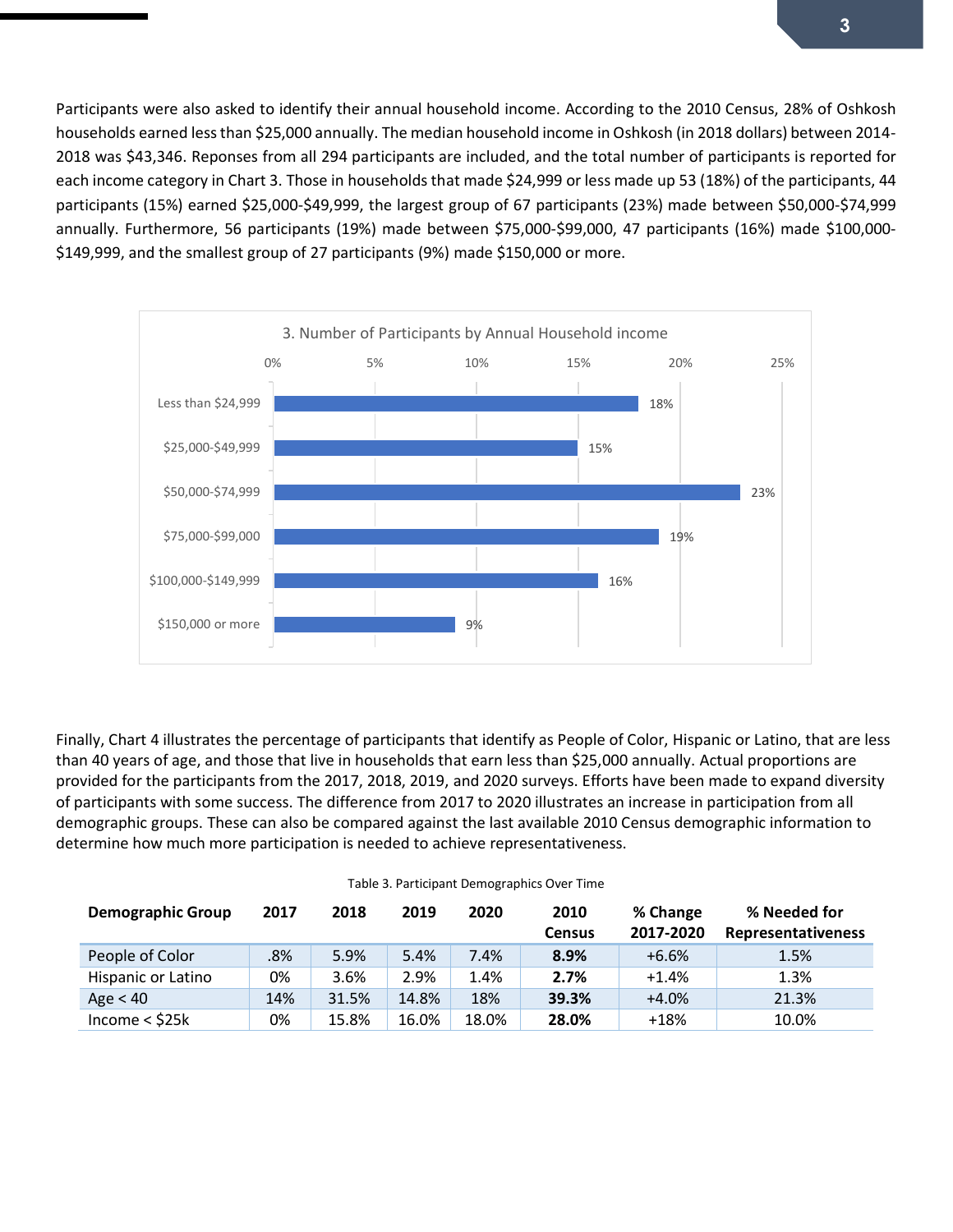Participants were also asked to identify their annual household income. According to the 2010 Census, 28% of Oshkosh households earned less than \$25,000 annually. The median household income in Oshkosh (in 2018 dollars) between 2014- 2018 was \$43,346. Reponses from all 294 participants are included, and the total number of participants is reported for each income category in Chart 3. Those in households that made \$24,999 or less made up 53 (18%) of the participants, 44 participants (15%) earned \$25,000-\$49,999, the largest group of 67 participants (23%) made between \$50,000-\$74,999 annually. Furthermore, 56 participants (19%) made between \$75,000-\$99,000, 47 participants (16%) made \$100,000- \$149,999, and the smallest group of 27 participants (9%) made \$150,000 or more.



Finally, Chart 4 illustrates the percentage of participants that identify as People of Color, Hispanic or Latino, that are less than 40 years of age, and those that live in households that earn less than \$25,000 annually. Actual proportions are provided for the participants from the 2017, 2018, 2019, and 2020 surveys. Efforts have been made to expand diversity of participants with some success. The difference from 2017 to 2020 illustrates an increase in participation from all demographic groups. These can also be compared against the last available 2010 Census demographic information to determine how much more participation is needed to achieve representativeness.

| <b>Demographic Group</b> | 2017 | 2018  | 2019  | 2020  | 2010<br><b>Census</b> | % Change<br>2017-2020 | % Needed for<br><b>Representativeness</b> |
|--------------------------|------|-------|-------|-------|-----------------------|-----------------------|-------------------------------------------|
| People of Color          | .8%  | 5.9%  | 5.4%  | 7.4%  | 8.9%                  | $+6.6%$               | 1.5%                                      |
| Hispanic or Latino       | 0%   | 3.6%  | 2.9%  | 1.4%  | 2.7%                  | $+1.4%$               | 1.3%                                      |
| Age $< 40$               | 14%  | 31.5% | 14.8% | 18%   | 39.3%                 | $+4.0%$               | 21.3%                                     |
| Income $<$ \$25 $k$      | 0%   | 15.8% | 16.0% | 18.0% | 28.0%                 | $+18%$                | 10.0%                                     |

|  | Table 3. Participant Demographics Over Time |  |
|--|---------------------------------------------|--|
|  |                                             |  |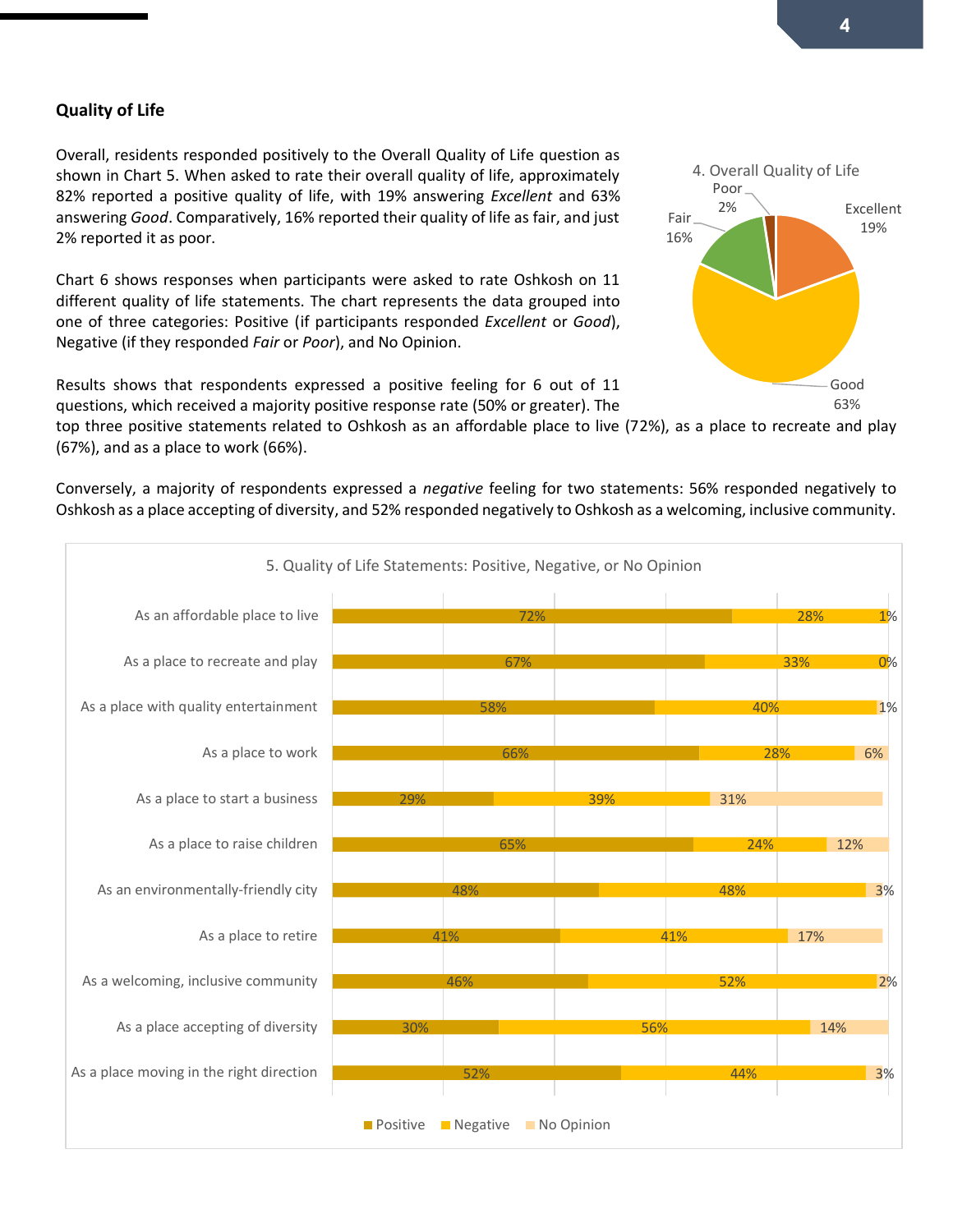#### **Quality of Life**

Overall, residents responded positively to the Overall Quality of Life question as shown in Chart 5. When asked to rate their overall quality of life, approximately 82% reported a positive quality of life, with 19% answering *Excellent* and 63% answering *Good*. Comparatively, 16% reported their quality of life as fair, and just 2% reported it as poor.

Chart 6 shows responses when participants were asked to rate Oshkosh on 11 different quality of life statements. The chart represents the data grouped into one of three categories: Positive (if participants responded *Excellent* or *Good*), Negative (if they responded *Fair* or *Poor*), and No Opinion.

Results shows that respondents expressed a positive feeling for 6 out of 11 questions, which received a majority positive response rate (50% or greater). The

top three positive statements related to Oshkosh as an affordable place to live (72%), as a place to recreate and play (67%), and as a place to work (66%).

Conversely, a majority of respondents expressed a *negative* feeling for two statements: 56% responded negatively to Oshkosh as a place accepting of diversity, and 52% responded negatively to Oshkosh as a welcoming, inclusive community.



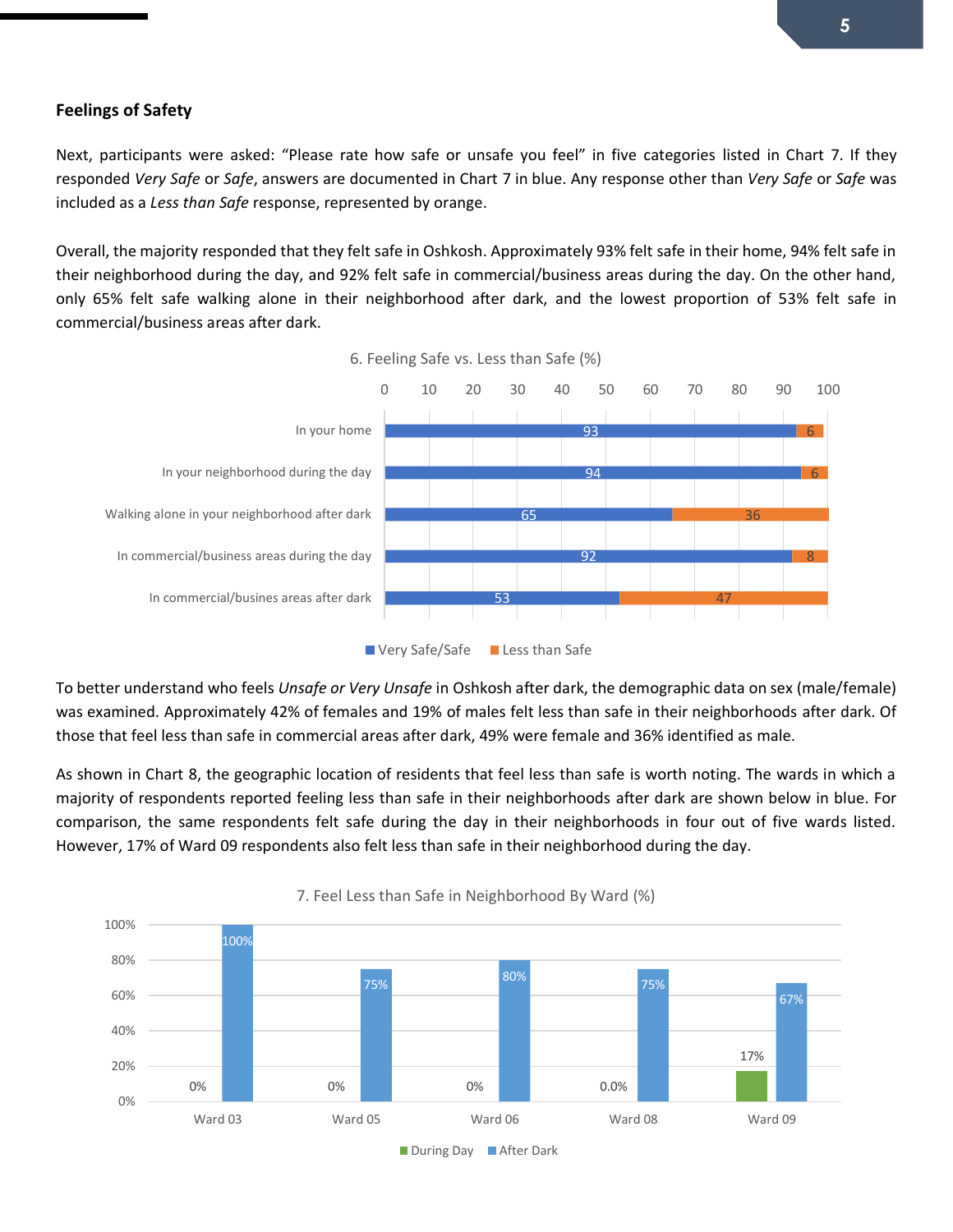#### **Feelings of Safety**

Next, participants were asked: "Please rate how safe or unsafe you feel" in five categories listed in Chart 7. If they responded *Very Safe* or *Safe*, answers are documented in Chart 7 in blue. Any response other than *Very Safe* or *Safe* was included as a *Less than Safe* response, represented by orange.

Overall, the majority responded that they felt safe in Oshkosh. Approximately 93% felt safe in their home, 94% felt safe in their neighborhood during the day, and 92% felt safe in commercial/business areas during the day. On the other hand, only 65% felt safe walking alone in their neighborhood after dark, and the lowest proportion of 53% felt safe in commercial/business areas after dark.



To better understand who feels *Unsafe or Very Unsafe* in Oshkosh after dark, the demographic data on sex (male/female) was examined. Approximately 42% of females and 19% of males felt less than safe in their neighborhoods after dark. Of those that feel less than safe in commercial areas after dark, 49% were female and 36% identified as male.

As shown in Chart 8, the geographic location of residents that feel less than safe is worth noting. The wards in which a majority of respondents reported feeling less than safe in their neighborhoods after dark are shown below in blue. For comparison, the same respondents felt safe during the day in their neighborhoods in four out of five wards listed. However, 17% of Ward 09 respondents also felt less than safe in their neighborhood during the day.



7. Feel Less than Safe in Neighborhood By Ward (%)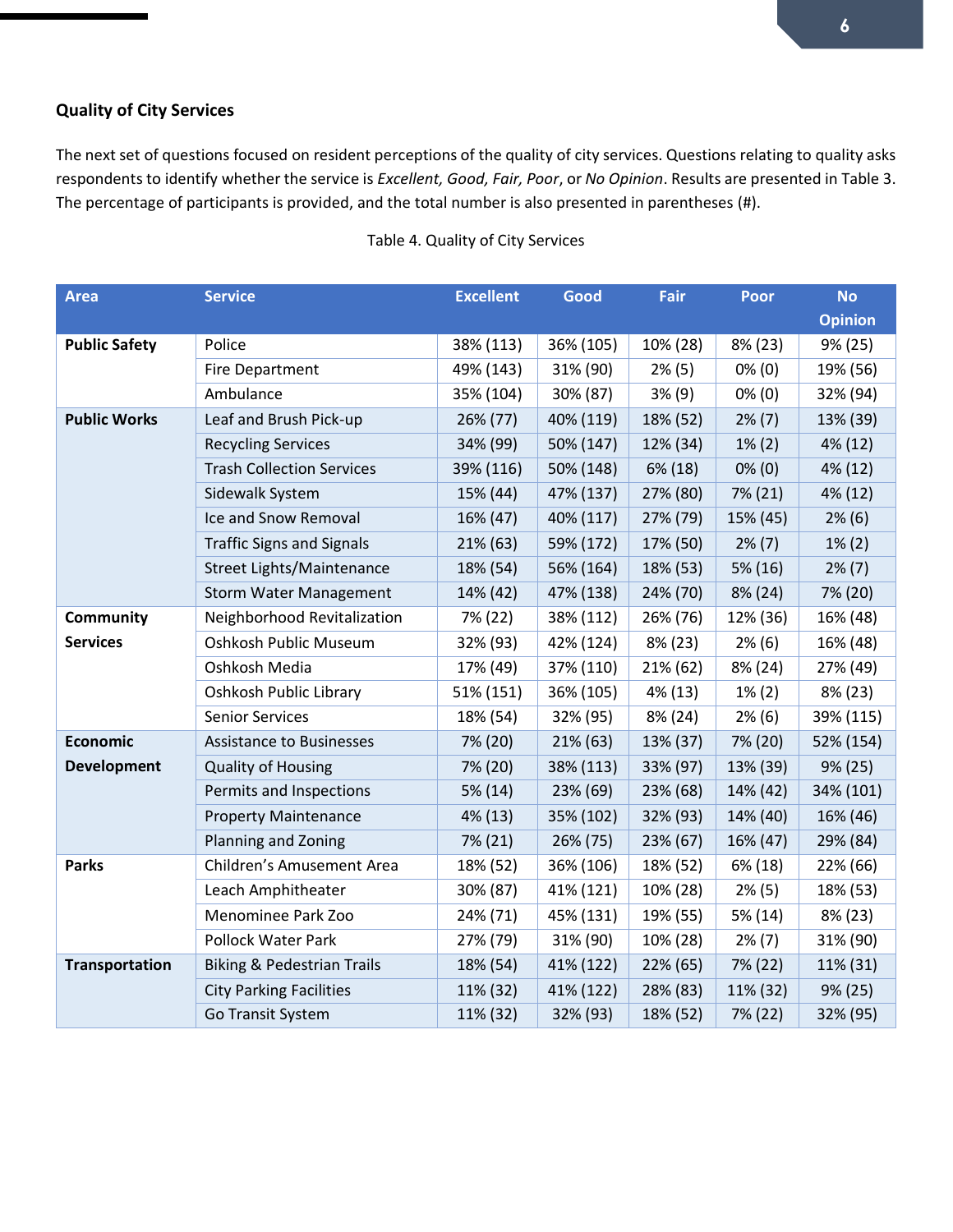## **Quality of City Services**

The next set of questions focused on resident perceptions of the quality of city services. Questions relating to quality asks respondents to identify whether the service is *Excellent, Good, Fair, Poor*, or *No Opinion*. Results are presented in Table 3. The percentage of participants is provided, and the total number is also presented in parentheses (#).

| <b>Area</b>           | <b>Service</b>                        | <b>Excellent</b> | Good      | Fair     | <b>Poor</b> | <b>No</b>      |
|-----------------------|---------------------------------------|------------------|-----------|----------|-------------|----------------|
|                       |                                       |                  |           |          |             | <b>Opinion</b> |
| <b>Public Safety</b>  | Police                                | 38% (113)        | 36% (105) | 10% (28) | 8% (23)     | 9% (25)        |
|                       | <b>Fire Department</b>                | 49% (143)        | 31% (90)  | 2% (5)   | $0\%$ (0)   | 19% (56)       |
|                       | Ambulance                             | 35% (104)        | 30% (87)  | 3% (9)   | $0\%$ (0)   | 32% (94)       |
| <b>Public Works</b>   | Leaf and Brush Pick-up                | 26% (77)         | 40% (119) | 18% (52) | $2\%$ (7)   | 13% (39)       |
|                       | <b>Recycling Services</b>             | 34% (99)         | 50% (147) | 12% (34) | $1\% (2)$   | 4% (12)        |
|                       | <b>Trash Collection Services</b>      | 39% (116)        | 50% (148) | 6% (18)  | $0\%$ (0)   | 4% (12)        |
|                       | Sidewalk System                       | 15% (44)         | 47% (137) | 27% (80) | 7% (21)     | 4% (12)        |
|                       | Ice and Snow Removal                  | 16% (47)         | 40% (117) | 27% (79) | 15% (45)    | $2\%$ (6)      |
|                       | <b>Traffic Signs and Signals</b>      | 21% (63)         | 59% (172) | 17% (50) | $2\%$ (7)   | $1\% (2)$      |
|                       | <b>Street Lights/Maintenance</b>      | 18% (54)         | 56% (164) | 18% (53) | 5% (16)     | $2\% (7)$      |
|                       | <b>Storm Water Management</b>         | 14% (42)         | 47% (138) | 24% (70) | 8% (24)     | 7% (20)        |
| Community             | Neighborhood Revitalization           | 7% (22)          | 38% (112) | 26% (76) | 12% (36)    | 16% (48)       |
| <b>Services</b>       | Oshkosh Public Museum                 | 32% (93)         | 42% (124) | 8% (23)  | $2\%$ (6)   | 16% (48)       |
|                       | Oshkosh Media                         | 17% (49)         | 37% (110) | 21% (62) | 8% (24)     | 27% (49)       |
|                       | Oshkosh Public Library                | 51% (151)        | 36% (105) | 4% (13)  | $1\% (2)$   | 8% (23)        |
|                       | <b>Senior Services</b>                | 18% (54)         | 32% (95)  | 8% (24)  | $2\%$ (6)   | 39% (115)      |
| <b>Economic</b>       | <b>Assistance to Businesses</b>       | 7% (20)          | 21% (63)  | 13% (37) | 7% (20)     | 52% (154)      |
| <b>Development</b>    | <b>Quality of Housing</b>             | 7% (20)          | 38% (113) | 33% (97) | 13% (39)    | 9% (25)        |
|                       | Permits and Inspections               | 5% (14)          | 23% (69)  | 23% (68) | 14% (42)    | 34% (101)      |
|                       | <b>Property Maintenance</b>           | 4% (13)          | 35% (102) | 32% (93) | 14% (40)    | 16% (46)       |
|                       | Planning and Zoning                   | 7% (21)          | 26% (75)  | 23% (67) | 16% (47)    | 29% (84)       |
| <b>Parks</b>          | Children's Amusement Area             | 18% (52)         | 36% (106) | 18% (52) | 6% (18)     | 22% (66)       |
|                       | Leach Amphitheater                    | 30% (87)         | 41% (121) | 10% (28) | $2\%$ (5)   | 18% (53)       |
|                       | Menominee Park Zoo                    | 24% (71)         | 45% (131) | 19% (55) | 5% (14)     | 8% (23)        |
|                       | <b>Pollock Water Park</b>             | 27% (79)         | 31% (90)  | 10% (28) | $2\%$ (7)   | 31% (90)       |
| <b>Transportation</b> | <b>Biking &amp; Pedestrian Trails</b> | 18% (54)         | 41% (122) | 22% (65) | 7% (22)     | 11% (31)       |
|                       | <b>City Parking Facilities</b>        | 11% (32)         | 41% (122) | 28% (83) | 11% (32)    | 9% (25)        |
|                       | Go Transit System                     | 11% (32)         | 32% (93)  | 18% (52) | 7% (22)     | 32% (95)       |

### Table 4. Quality of City Services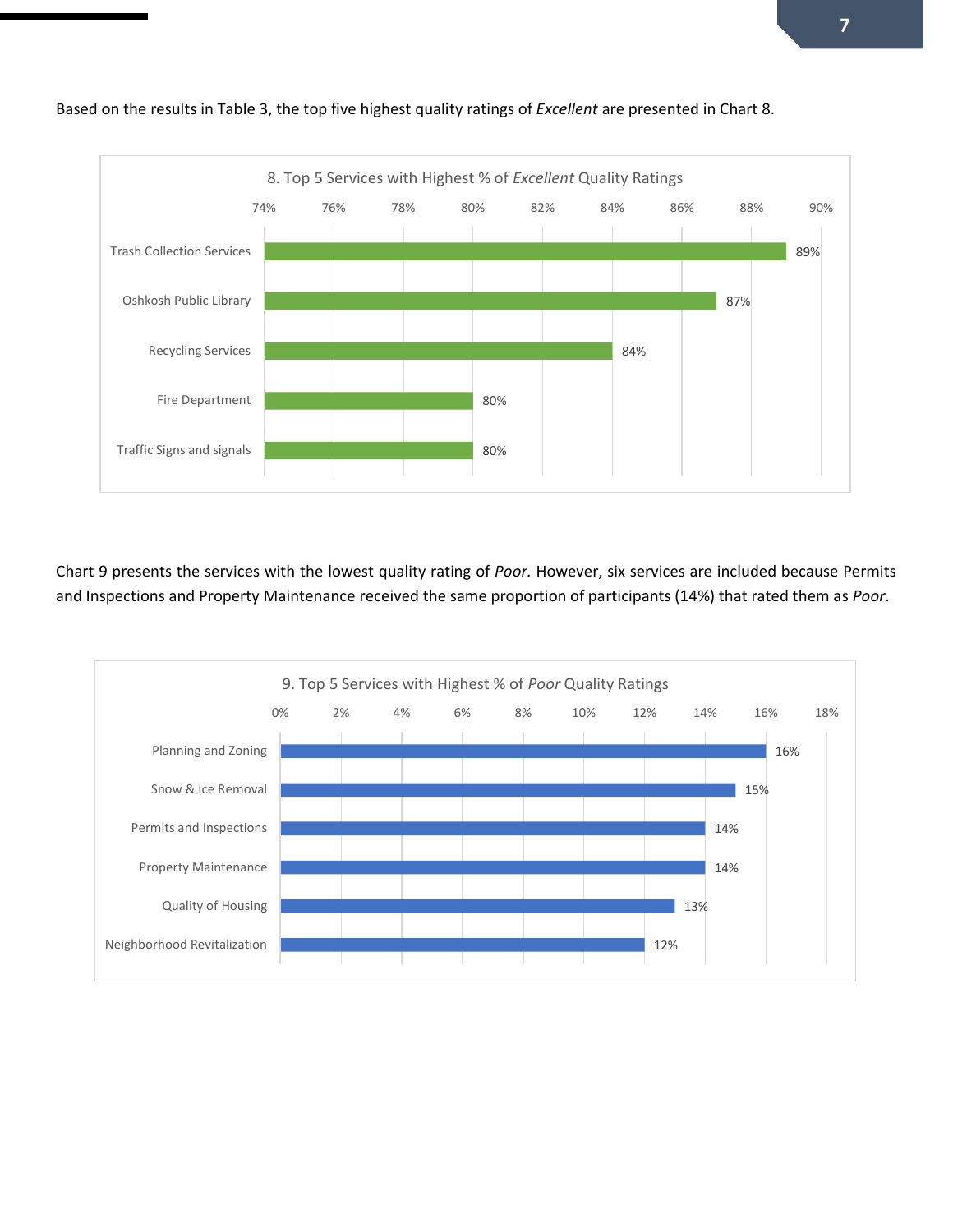

Based on the results in Table 3, the top five highest quality ratings of *Excellent* are presented in Chart 8.

Chart 9 presents the services with the lowest quality rating of *Poor.* However, six services are included because Permits and Inspections and Property Maintenance received the same proportion of participants (14%) that rated them as *Poor*.

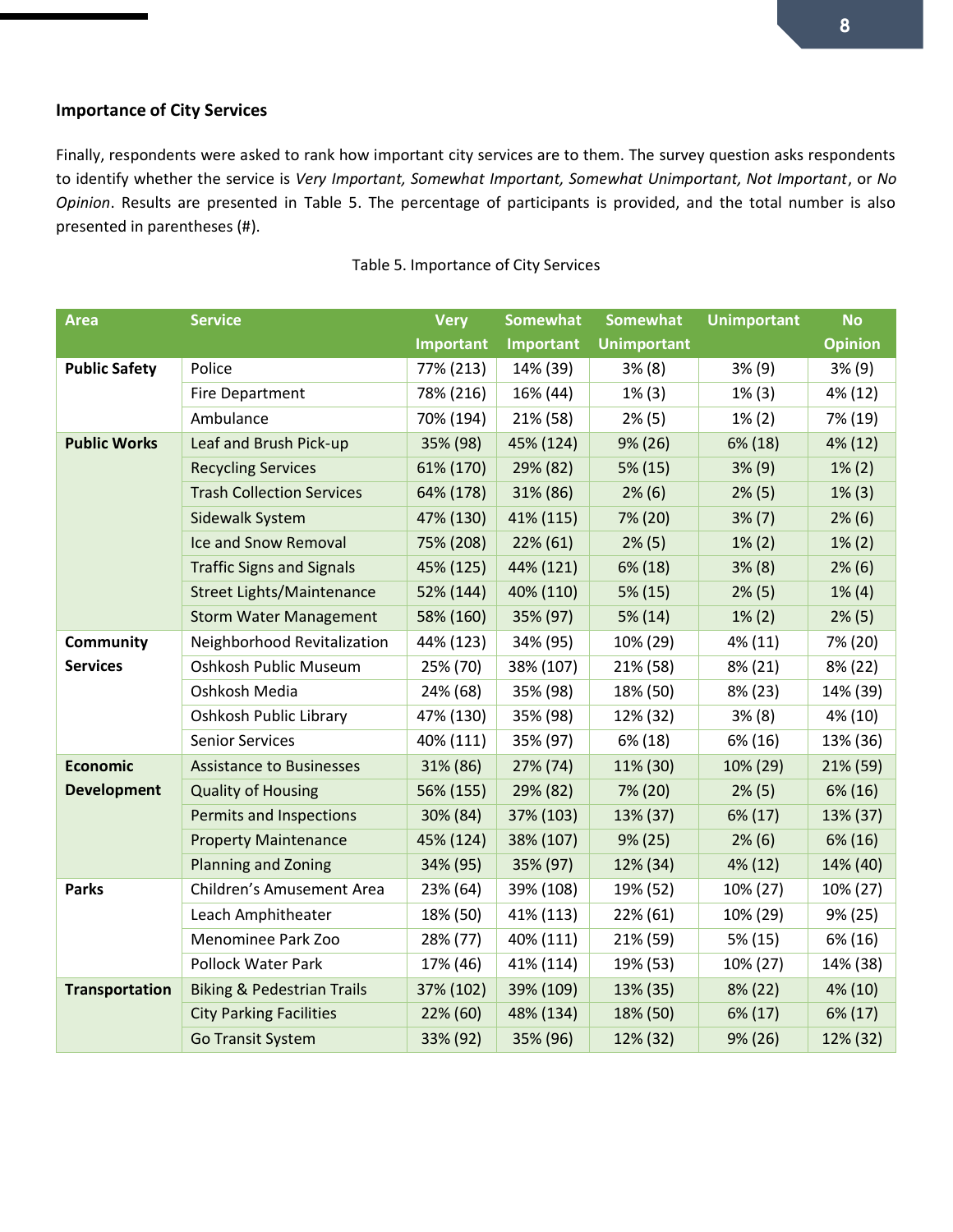### **Importance of City Services**

Finally, respondents were asked to rank how important city services are to them. The survey question asks respondents to identify whether the service is *Very Important, Somewhat Important, Somewhat Unimportant, Not Important*, or *No Opinion*. Results are presented in Table 5. The percentage of participants is provided, and the total number is also presented in parentheses (#).

| <b>Area</b>           | <b>Service</b>                        | <b>Very</b> | <b>Somewhat</b>  | <b>Somewhat</b>    | <b>Unimportant</b> | <b>No</b>      |
|-----------------------|---------------------------------------|-------------|------------------|--------------------|--------------------|----------------|
|                       |                                       | Important   | <b>Important</b> | <b>Unimportant</b> |                    | <b>Opinion</b> |
| <b>Public Safety</b>  | Police                                | 77% (213)   | 14% (39)         | 3% (8)             | 3% (9)             | 3% (9)         |
|                       | Fire Department                       | 78% (216)   | 16% (44)         | $1\%$ (3)          | $1\%$ (3)          | 4% (12)        |
|                       | Ambulance                             | 70% (194)   | 21% (58)         | $2\%$ (5)          | $1\% (2)$          | 7% (19)        |
| <b>Public Works</b>   | Leaf and Brush Pick-up                | 35% (98)    | 45% (124)        | 9% (26)            | 6% (18)            | 4% (12)        |
|                       | <b>Recycling Services</b>             | 61% (170)   | 29% (82)         | 5% (15)            | 3% (9)             | $1\% (2)$      |
|                       | <b>Trash Collection Services</b>      | 64% (178)   | 31% (86)         | $2\%$ (6)          | $2\%$ (5)          | $1\%$ (3)      |
|                       | Sidewalk System                       | 47% (130)   | 41% (115)        | 7% (20)            | $3\%$ (7)          | $2\%$ (6)      |
|                       | Ice and Snow Removal                  | 75% (208)   | 22% (61)         | $2\%$ (5)          | $1\% (2)$          | $1\% (2)$      |
|                       | <b>Traffic Signs and Signals</b>      | 45% (125)   | 44% (121)        | 6% (18)            | 3% (8)             | $2\%$ (6)      |
|                       | <b>Street Lights/Maintenance</b>      | 52% (144)   | 40% (110)        | 5% (15)            | $2\%$ (5)          | $1\%$ (4)      |
|                       | <b>Storm Water Management</b>         | 58% (160)   | 35% (97)         | 5% (14)            | $1\% (2)$          | $2\%$ (5)      |
| Community             | Neighborhood Revitalization           | 44% (123)   | 34% (95)         | 10% (29)           | 4% (11)            | 7% (20)        |
| <b>Services</b>       | Oshkosh Public Museum                 | 25% (70)    | 38% (107)        | 21% (58)           | 8% (21)            | 8% (22)        |
|                       | Oshkosh Media                         | 24% (68)    | 35% (98)         | 18% (50)           | 8% (23)            | 14% (39)       |
|                       | Oshkosh Public Library                | 47% (130)   | 35% (98)         | 12% (32)           | 3% (8)             | 4% (10)        |
|                       | <b>Senior Services</b>                | 40% (111)   | 35% (97)         | 6% (18)            | 6% (16)            | 13% (36)       |
| <b>Economic</b>       | <b>Assistance to Businesses</b>       | 31% (86)    | 27% (74)         | 11% (30)           | 10% (29)           | 21% (59)       |
| <b>Development</b>    | <b>Quality of Housing</b>             | 56% (155)   | 29% (82)         | 7% (20)            | $2\% (5)$          | 6% (16)        |
|                       | Permits and Inspections               | 30% (84)    | 37% (103)        | 13% (37)           | 6% (17)            | 13% (37)       |
|                       | <b>Property Maintenance</b>           | 45% (124)   | 38% (107)        | 9% (25)            | $2\%$ (6)          | 6% (16)        |
|                       | <b>Planning and Zoning</b>            | 34% (95)    | 35% (97)         | 12% (34)           | 4% (12)            | 14% (40)       |
| <b>Parks</b>          | Children's Amusement Area             | 23% (64)    | 39% (108)        | 19% (52)           | 10% (27)           | 10% (27)       |
|                       | Leach Amphitheater                    | 18% (50)    | 41% (113)        | 22% (61)           | 10% (29)           | 9% (25)        |
|                       | Menominee Park Zoo                    | 28% (77)    | 40% (111)        | 21% (59)           | 5% (15)            | 6% (16)        |
|                       | <b>Pollock Water Park</b>             | 17% (46)    | 41% (114)        | 19% (53)           | 10% (27)           | 14% (38)       |
| <b>Transportation</b> | <b>Biking &amp; Pedestrian Trails</b> | 37% (102)   | 39% (109)        | 13% (35)           | 8% (22)            | 4% (10)        |
|                       | <b>City Parking Facilities</b>        | 22% (60)    | 48% (134)        | 18% (50)           | 6% (17)            | 6% (17)        |
|                       | <b>Go Transit System</b>              | 33% (92)    | 35% (96)         | 12% (32)           | 9% (26)            | 12% (32)       |

### Table 5. Importance of City Services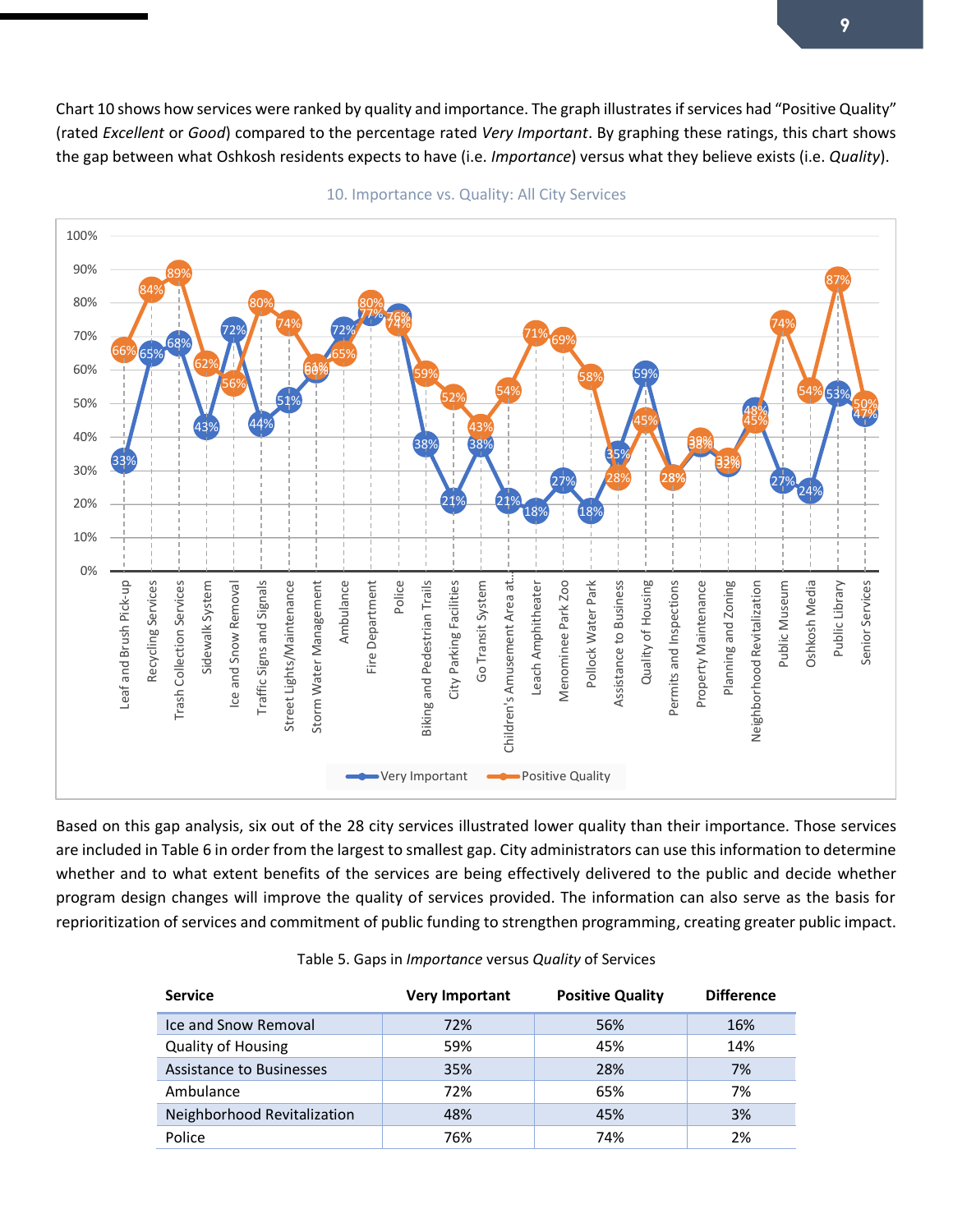Chart 10 shows how services were ranked by quality and importance. The graph illustrates if services had "Positive Quality" (rated *Excellent* or *Good*) compared to the percentage rated *Very Important*. By graphing these ratings, this chart shows the gap between what Oshkosh residents expects to have (i.e. *Importance*) versus what they believe exists (i.e. *Quality*).



10. Importance vs. Quality: All City Services

Based on this gap analysis, six out of the 28 city services illustrated lower quality than their importance. Those services are included in Table 6 in order from the largest to smallest gap. City administrators can use this information to determine whether and to what extent benefits of the services are being effectively delivered to the public and decide whether program design changes will improve the quality of services provided. The information can also serve as the basis for reprioritization of services and commitment of public funding to strengthen programming, creating greater public impact.

| <b>Service</b>              | <b>Very Important</b> | <b>Positive Quality</b> | <b>Difference</b> |
|-----------------------------|-----------------------|-------------------------|-------------------|
| Ice and Snow Removal        | 72%                   | 56%                     | 16%               |
| <b>Quality of Housing</b>   | 59%                   | 45%                     | 14%               |
| Assistance to Businesses    | 35%                   | 28%                     | 7%                |
| Ambulance                   | 72%                   | 65%                     | 7%                |
| Neighborhood Revitalization | 48%                   | 45%                     | 3%                |
| Police                      | 76%                   | 74%                     | 2%                |